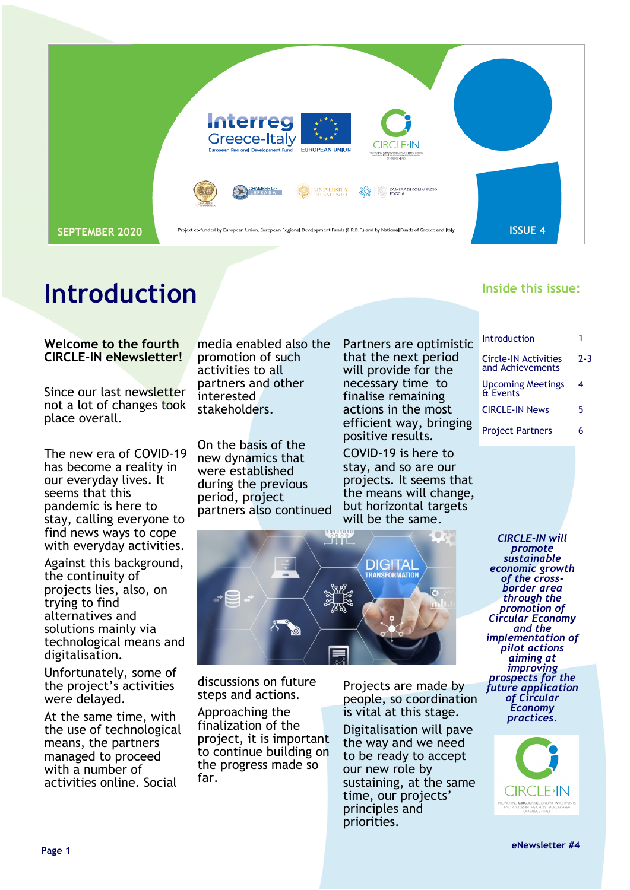

# **Introduction**

#### **Inside this issue:**

Introduction 1

#### **Welcome to the fourth CIRCLE-IN eNewsletter!**

Since our last newsletter not a lot of changes took place overall.

The new era of COVID-19 has become a reality in our everyday lives. It seems that this pandemic is here to stay, calling everyone to find news ways to cope with everyday activities.

Against this background, the continuity of projects lies, also, on trying to find alternatives and solutions mainly via technological means and digitalisation.

Unfortunately, some of the project's activities were delayed.

At the same time, with the use of technological means, the partners managed to proceed with a number of activities online. Social

media enabled also the promotion of such activities to all partners and other interested stakeholders.

On the basis of the new dynamics that were established during the previous period, project partners also continued Partners are optimistic that the next period will provide for the necessary time to finalise remaining actions in the most efficient way, bringing positive results.

COVID-19 is here to stay, and so are our projects. It seems that the means will change, but horizontal targets will be the same.



discussions on future steps and actions.

Approaching the finalization of the project, it is important to continue building on the progress made so far.

Projects are made by people, so coordination is vital at this stage.

Digitalisation will pave the way and we need to be ready to accept our new role by sustaining, at the same time, our projects' principles and priorities.

| <b>Circle-IN Activities</b><br>and Achievements | $2 - 3$ |
|-------------------------------------------------|---------|
| Upcoming Meetings<br>& Events                   | 4       |
| <b>CIRCLE-IN News</b>                           | 5       |
| <b>Project Partners</b>                         | 6       |

*CIRCLE-IN will promote sustainable economic growth of the crossborder area through the promotion of Circular Economy and the implementation of pilot actions aiming at improving prospects for the future application of Circular Economy practices.*



**eNewsletter #4 Page 1**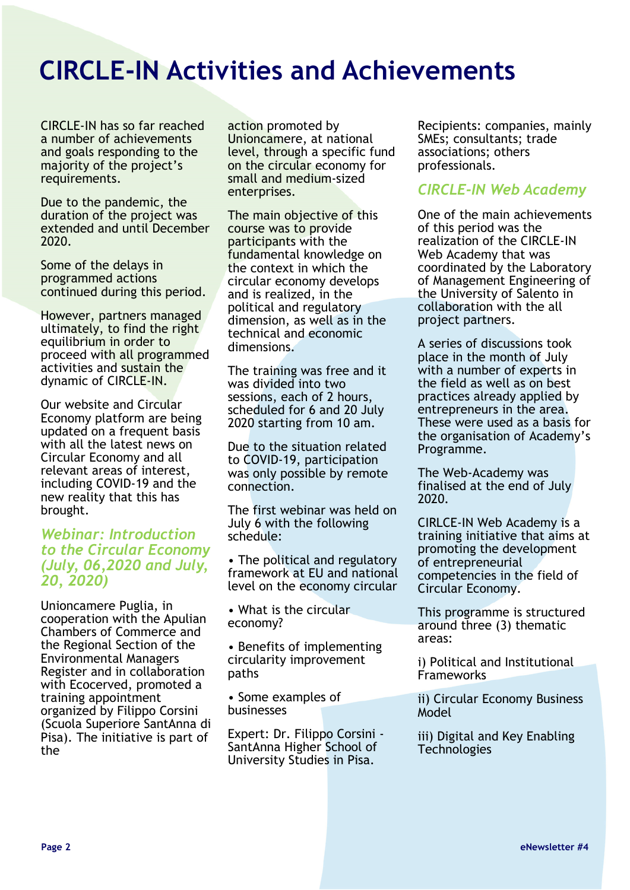# **CIRCLE-IN Activities and Achievements**

CIRCLE-IN has so far reached a number of achievements and goals responding to the majority of the project's requirements.

Due to the pandemic, the duration of the project was extended and until December 2020.

Some of the delays in programmed actions continued during this period.

However, partners managed ultimately, to find the right equilibrium in order to proceed with all programmed activities and sustain the dynamic of CIRCLE-IN.

Our website and Circular Economy platform are being updated on a frequent basis with all the latest news on Circular Economy and all relevant areas of interest, including COVID-19 and the new reality that this has brought.

### *Webinar: Introduction to the Circular Economy (July, 06,2020 and July, 20, 2020)*

Unioncamere Puglia, in cooperation with the Apulian Chambers of Commerce and the Regional Section of the Environmental Managers Register and in collaboration with Ecocerved, promoted a training appointment organized by Filippo Corsini (Scuola Superiore SantAnna di Pisa). The initiative is part of the

action promoted by Unioncamere, at national level, through a specific fund on the circular economy for small and medium-sized enterprises.

The main objective of this course was to provide participants with the fundamental knowledge on the context in which the circular economy develops and is realized, in the political and regulatory dimension, as well as in the technical and economic dimensions.

The training was free and it was divided into two sessions, each of 2 hours, scheduled for 6 and 20 July 2020 starting from 10 am.

Due to the situation related to COVID-19, participation was only possible by remote connection.

The first webinar was held on July 6 with the following schedule:

• The political and regulatory framework at EU and national level on the economy circular

• What is the circular economy?

• Benefits of implementing circularity improvement paths

• Some examples of businesses

Expert: Dr. Filippo Corsini - SantAnna Higher School of University Studies in Pisa.

Recipients: companies, mainly SMEs; consultants; trade associations; others professionals.

### *CIRCLE-IN Web Academy*

One of the main achievements of this period was the realization of the CIRCLE-IN Web Academy that was coordinated by the Laboratory of Management Engineering of the University of Salento in collaboration with the all project partners.

A series of discussions took place in the month of July with a number of experts in the field as well as on best practices already applied by entrepreneurs in the area. These were used as a basis for the organisation of Academy's Programme.

The Web-Academy was finalised at the end of July 2020.

CIRLCE-IN Web Academy is a training initiative that aims at promoting the development of entrepreneurial competencies in the field of Circular Economy.

This programme is structured around three (3) thematic areas:

i) Political and Institutional Frameworks

ii) Circular Economy Business Model

iii) Digital and Key Enabling **Technologies**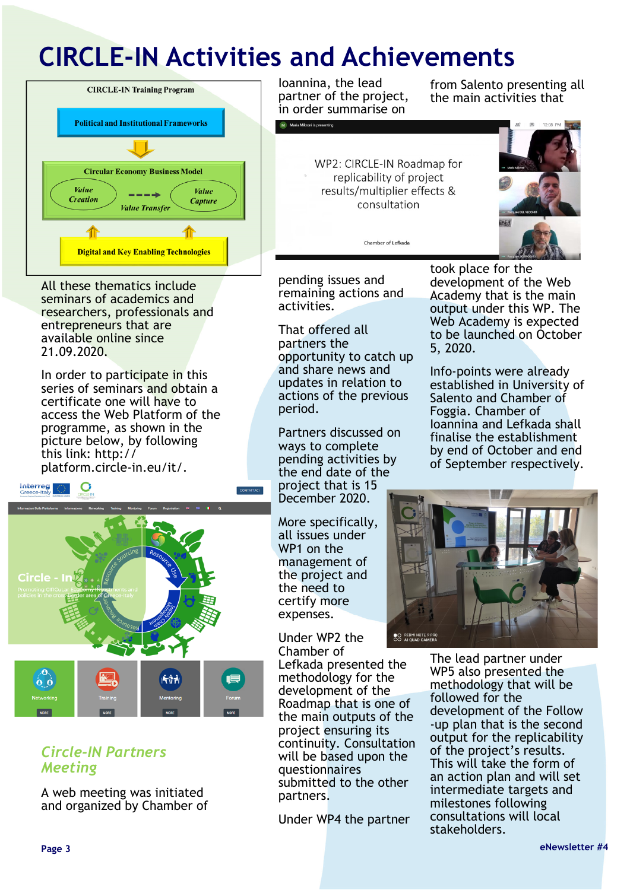# **CIRCLE-IN Activities and Achievements**



All these thematics include seminars of academics and researchers, professionals and entrepreneurs that are available online since 21.09.2020.

In order to participate in this series of seminars and obtain a certificate one will have to access the Web Platform of the programme, as shown in the picture below, by following this link: http:// platform.circle-in.eu/it/.



# *Circle-IN Partners Meeting*

A web meeting was initiated and organized by Chamber of Ioannina, the lead partner of the project, in order summarise on

from Salento presenting all the main activities that

WP2: CIRCLE-IN Roadmap for replicability of project results/multiplier effects & consultation

Chamber of Lefkada

pending issues and remaining actions and activities.

That offered all partners the opportunity to catch up and share news and updates in relation to actions of the previous period.

Partners discussed on ways to complete pending activities by the end date of the project that is 15 December 2020.

More specifically, all issues under WP1 on the management of the project and the need to certify more expenses.

Under WP2 the Chamber of

Lefkada presented the methodology for the development of the Roadmap that is one of the main outputs of the project ensuring its continuity. Consultation will be based upon the questionnaires submitted to the other partners.

Under WP4 the partner

took place for the development of the Web Academy that is the main output under this WP. The Web Academy is expected to be launched on October 5, 2020.

Info-points were already established in University of Salento and Chamber of Foggia. Chamber of Ioannina and Lefkada shall finalise the establishment by end of October and end of September respectively.



The lead partner under WP5 also presented the methodology that will be followed for the development of the Follow -up plan that is the second output for the replicability of the project's results. This will take the form of an action plan and will set intermediate targets and milestones following consultations will local stakeholders.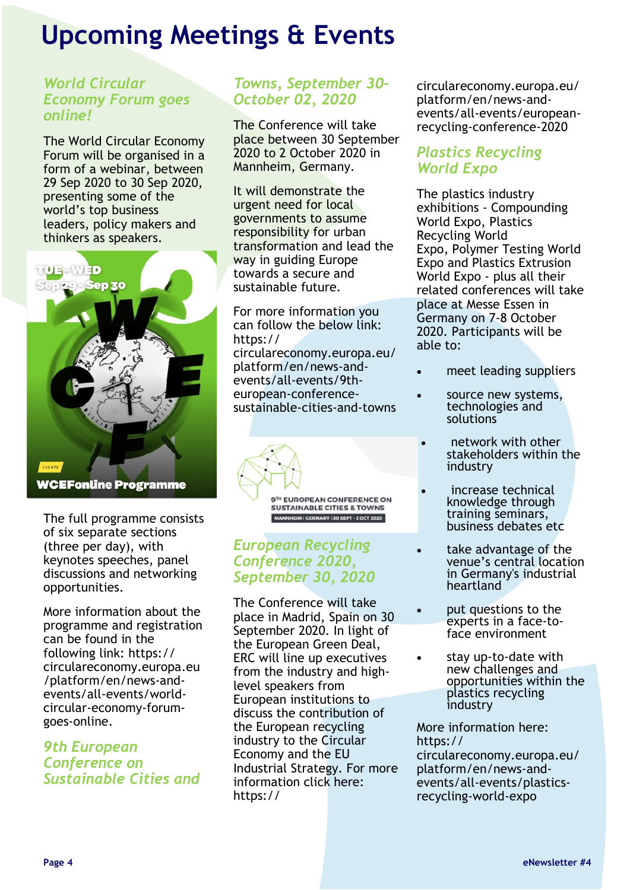# **Upcoming Meetings & Events**

## *World Circular Economy Forum goes online!*

The World Circular Economy Forum will be organised in a form of a webinar, between 29 Sep 2020 to 30 Sep 2020, presenting some of the world's top business leaders, policy makers and thinkers as speakers.



The full programme consists of six separate sections (three per day), with keynotes speeches, panel discussions and networking opportunities.

More information about the programme and registration can be found in the following link: https:// circulareconomy.europa.eu /platform/en/news-andevents/all-events/worldcircular-economy-forumgoes-online.

### *9th European Conference on Sustainable Cities and*

# *Towns, September 30- October 02, 2020*

The Conference will take place between 30 September 2020 to 2 October 2020 in Mannheim, Germany.

It will demonstrate the urgent need for local governments to assume responsibility for urban transformation and lead the way in guiding Europe towards a secure and sustainable future.

For more information you can follow the below link: https:// circulareconomy.europa.eu/ platform/en/news-andevents/all-events/9theuropean-conferencesustainable-cities-and-towns



9TH EUROPEAN CONFERENCE ON **SUSTAINABLE CITIES & TOWNS** MANNHEIM | GERMANY | 30 SEPT - 2 OCT 2020

## *European Recycling Conference 2020, September 30, 2020*

The Conference will take place in Madrid, Spain on 30 September 2020. In light of the European Green Deal, ERC will line up executives from the industry and highlevel speakers from European institutions to discuss the contribution of the European recycling industry to the Circular Economy and the EU Industrial Strategy. For more information click here: https://

circulareconomy.europa.eu/ platform/en/news-andevents/all-events/europeanrecycling-conference-2020

# *Plastics Recycling World Expo*

The plastics industry exhibitions - Compounding World Expo, Plastics Recycling World Expo, Polymer Testing World Expo and Plastics Extrusion World Expo - plus all their related conferences will take place at Messe Essen in Germany on 7-8 October 2020. Participants will be able to:

- meet leading suppliers
- source new systems, technologies and solutions
- network with other stakeholders within the industry
- increase technical knowledge through training seminars, business debates etc
- take advantage of the venue's central location in Germany's industrial heartland
- put questions to the experts in a face-toface environment
- stay up-to-date with new challenges and opportunities within the plastics recycling industry

More information here: https:// circulareconomy.europa.eu/ platform/en/news-andevents/all-events/plasticsrecycling-world-expo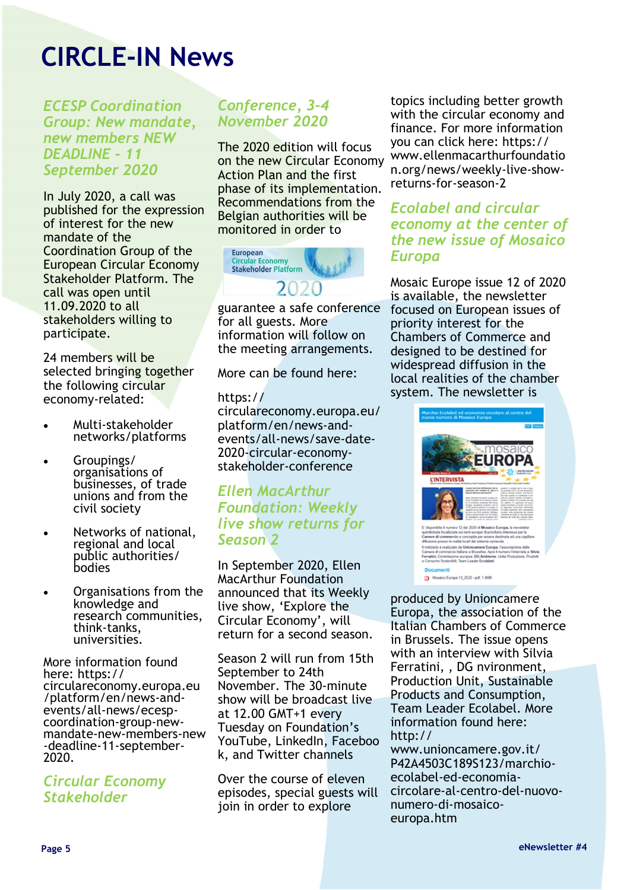# **CIRCLE-IN News**

*ECESP Coordination Group: New mandate, new members NEW DEADLINE - 11 September 2020*

In July 2020, a call was published for the expression of interest for the new mandate of the Coordination Group of the European Circular Economy Stakeholder Platform. The call was open until 11.09.2020 to all stakeholders willing to participate.

24 members will be selected bringing together the following circular economy-related:

- Multi-stakeholder networks/platforms
- Groupings/ organisations of businesses, of trade unions and from the civil society
- Networks of national, regional and local public authorities/ bodies
- Organisations from the knowledge and research communities, think-tanks, universities.

More information found here: https:// circulareconomy.europa.eu /platform/en/news-andevents/all-news/ecespcoordination-group-newmandate-new-members-new -deadline-11-september-2020.

### *Circular Economy Stakeholder*

## *Conference, 3-4 November 2020*

The 2020 edition will focus on the new Circular Economy Action Plan and the first phase of its implementation. Recommendations from the Belgian authorities will be monitored in order to



guarantee a safe conference for all guests. More information will follow on the meeting arrangements.

More can be found here:

#### https://

circulareconomy.europa.eu/ platform/en/news-andevents/all-news/save-date-2020-circular-economystakeholder-conference

### *Ellen MacArthur Foundation: Weekly live show returns for Season 2*

In September 2020, Ellen MacArthur Foundation announced that its Weekly live show, 'Explore the Circular Economy', will return for a second season.

Season 2 will run from 15th September to 24th November. The 30-minute show will be broadcast live at 12.00 GMT+1 every Tuesday on Foundation's YouTube, LinkedIn, Faceboo k, and Twitter channels

Over the course of eleven episodes, special guests will join in order to explore

topics including better growth with the circular economy and finance. For more information you can click here: https:// www.ellenmacarthurfoundatio n.org/news/weekly-live-showreturns-for-season-2

### *Ecolabel and circular economy at the center of the new issue of Mosaico Europa*

Mosaic Europe issue 12 of 2020 is available, the newsletter focused on European issues of priority interest for the Chambers of Commerce and designed to be destined for widespread diffusion in the local realities of the chamber system. The newsletter is



(7) Mosaice Europa 13 2020 - pdf, 1.8MB

produced by Unioncamere Europa, the association of the Italian Chambers of Commerce in Brussels. The issue opens with an interview with Silvia Ferratini, , DG nvironment, Production Unit, Sustainable Products and Consumption, Team Leader Ecolabel. More information found here: http://

www.unioncamere.gov.it/ P42A4503C189S123/marchioecolabel-ed-economiacircolare-al-centro-del-nuovonumero-di-mosaicoeuropa.htm

**Page 5 eNewsletter #4**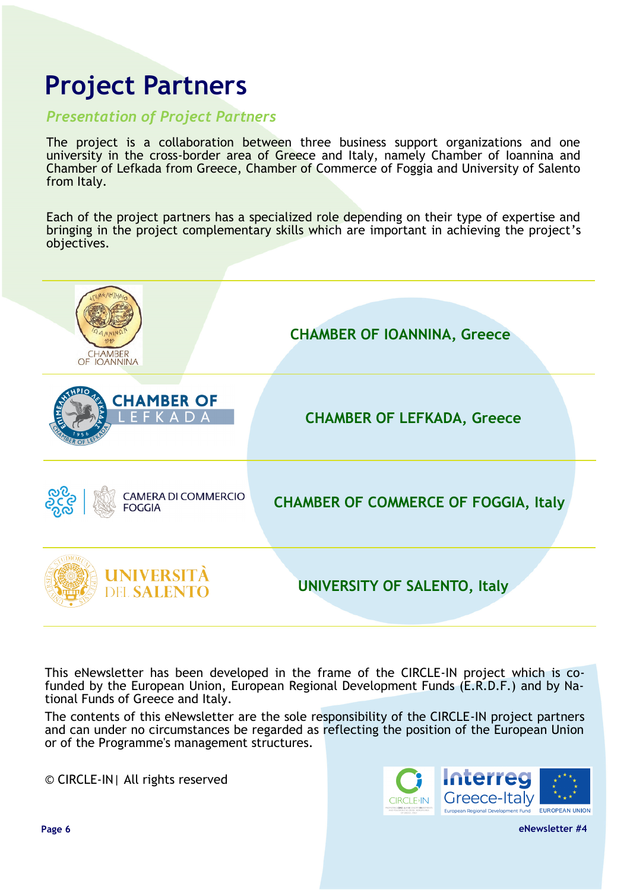# **Project Partners**

*Presentation of Project Partners*

The project is a collaboration between three business support organizations and one university in the cross-border area of Greece and Italy, namely Chamber of Ioannina and Chamber of Lefkada from Greece, Chamber of Commerce of Foggia and University of Salento from Italy.

Each of the project partners has a specialized role depending on their type of expertise and bringing in the project complementary skills which are important in achieving the project's objectives.



This eNewsletter has been developed in the frame of the CIRCLE-IN project which is cofunded by the European Union, European Regional Development Funds (E.R.D.F.) and by National Funds of Greece and Italy.

The contents of this eNewsletter are the sole responsibility of the CIRCLE-IN project partners and can under no circumstances be regarded as reflecting the position of the European Union or of the Programme's management structures.

© CIRCLE-IN| All rights reserved



**Page 6 eNewsletter #4**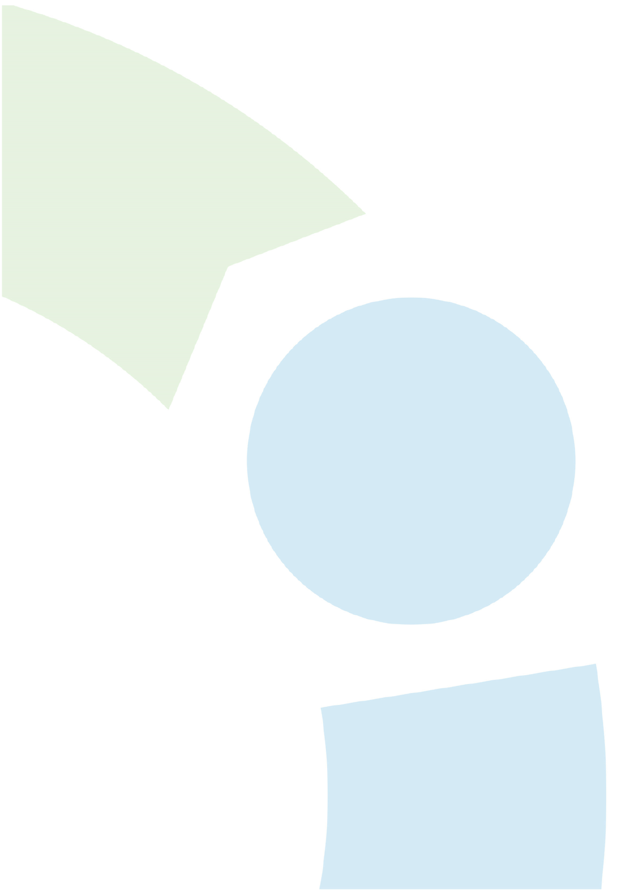